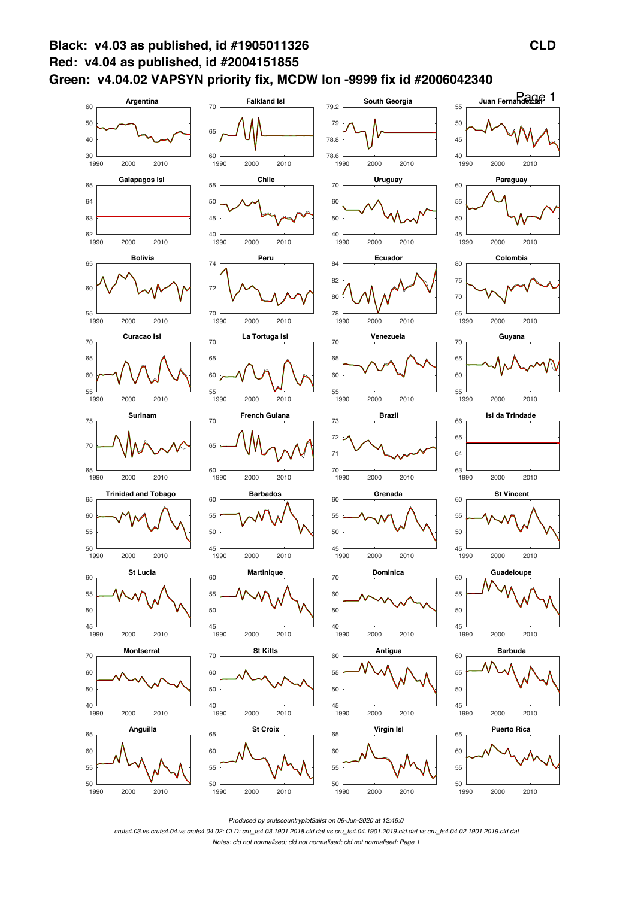

Produced by crutscountryplot3alist on 06-Jun-2020 at 12:46:0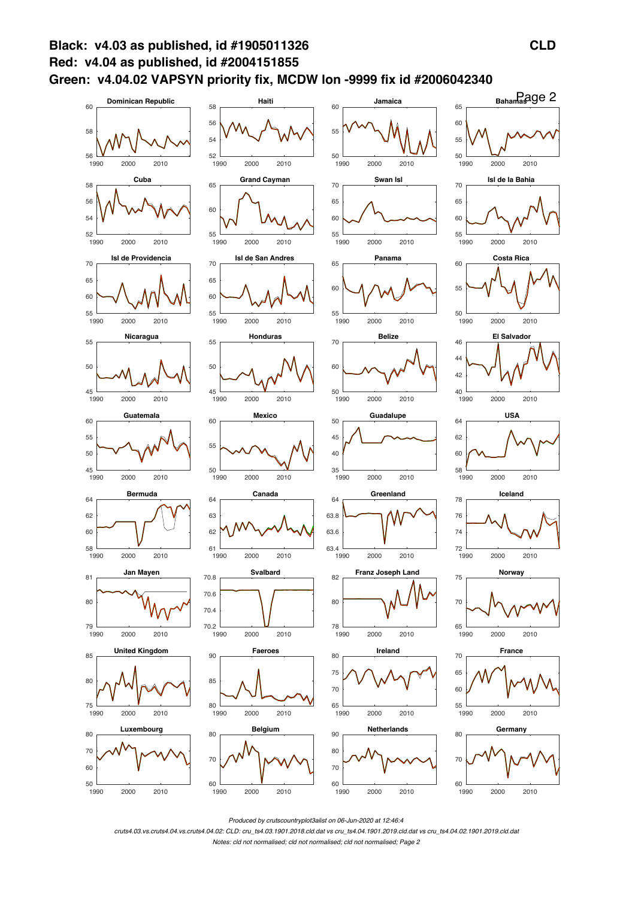

*Produced by crutscountryplot3alist on 06-Jun-2020 at 12:46:4*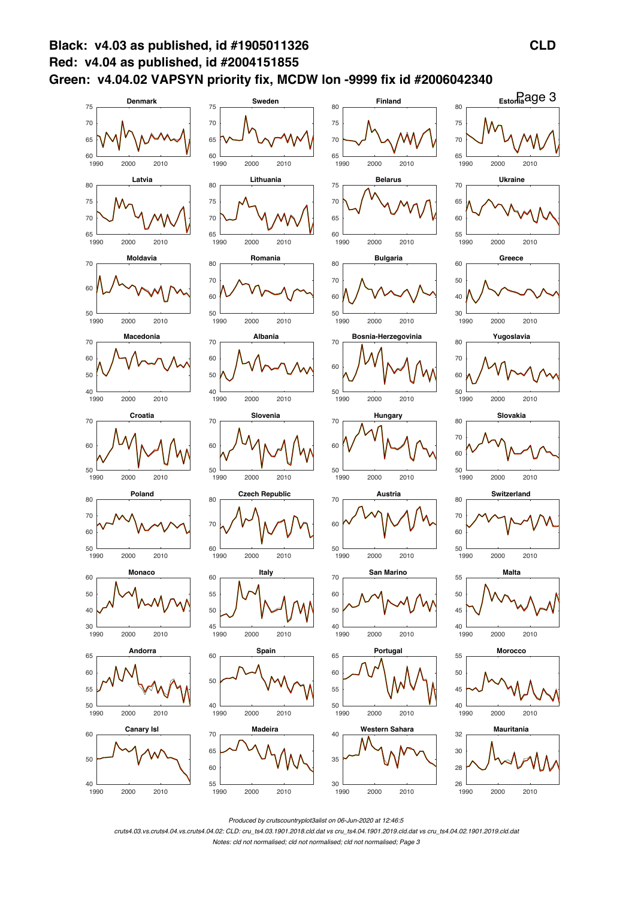

*Produced by crutscountryplot3alist on 06-Jun-2020 at 12:46:5*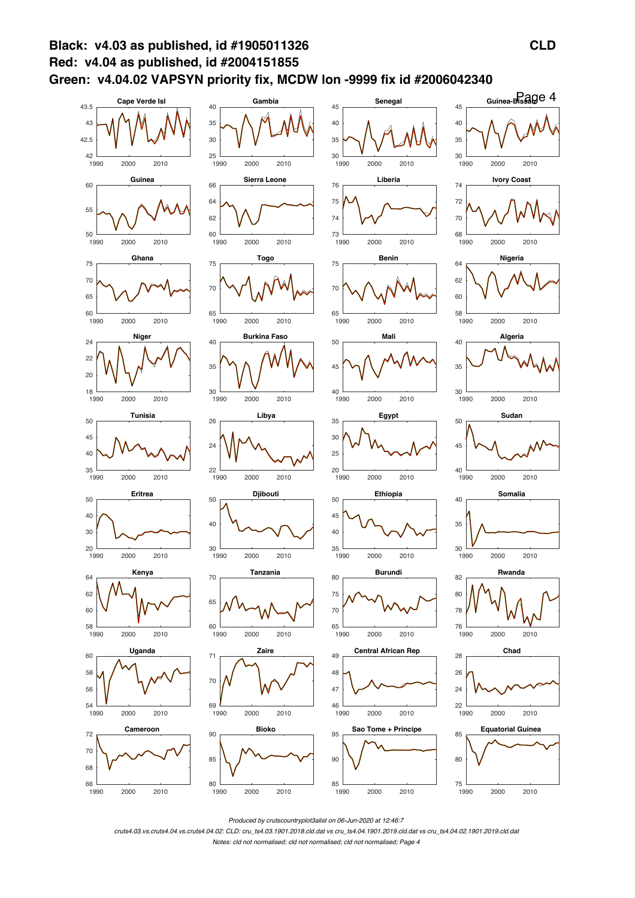

*Produced by crutscountryplot3alist on 06-Jun-2020 at 12:46:7*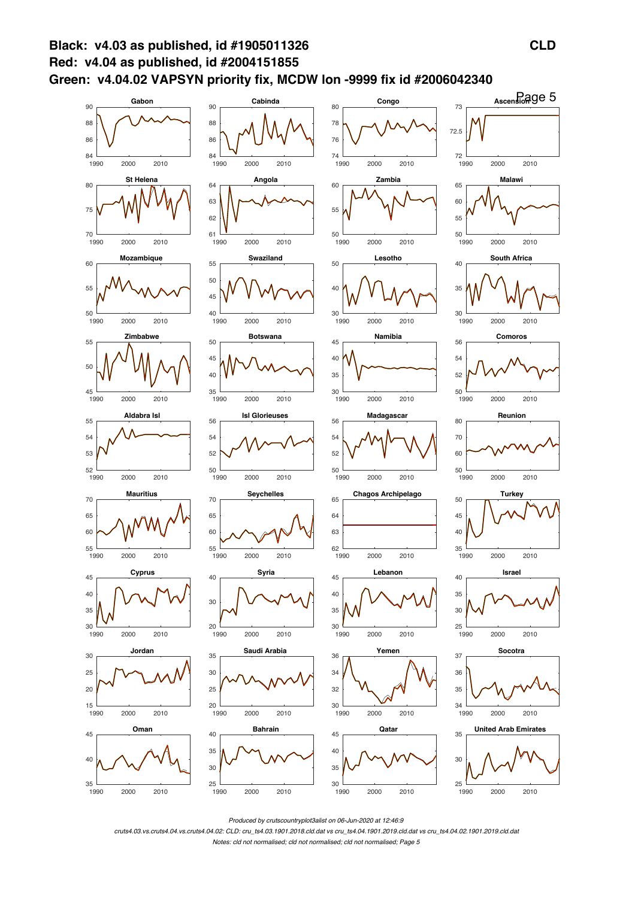

*Produced by crutscountryplot3alist on 06-Jun-2020 at 12:46:9*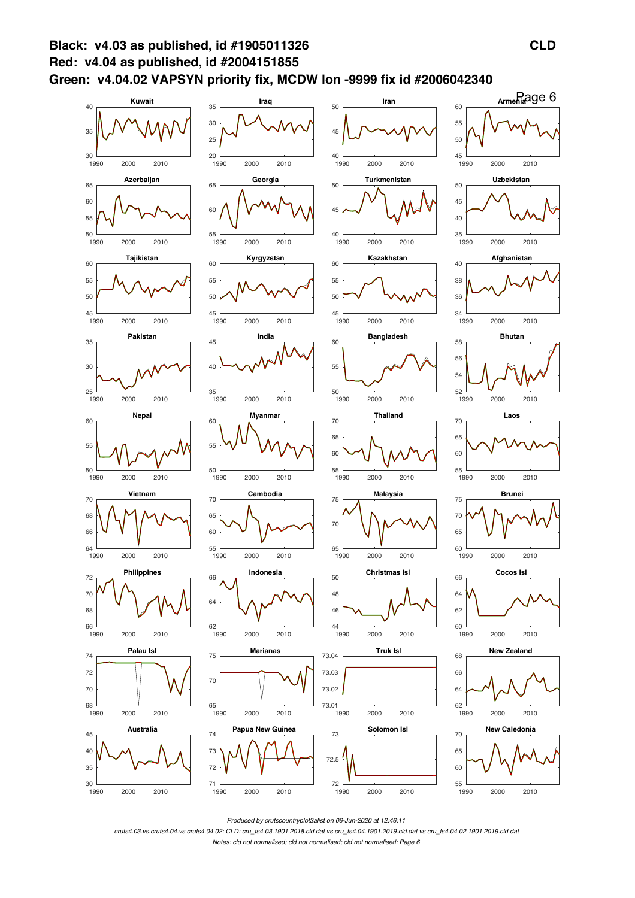

*Produced by crutscountryplot3alist on 06-Jun-2020 at 12:46:11*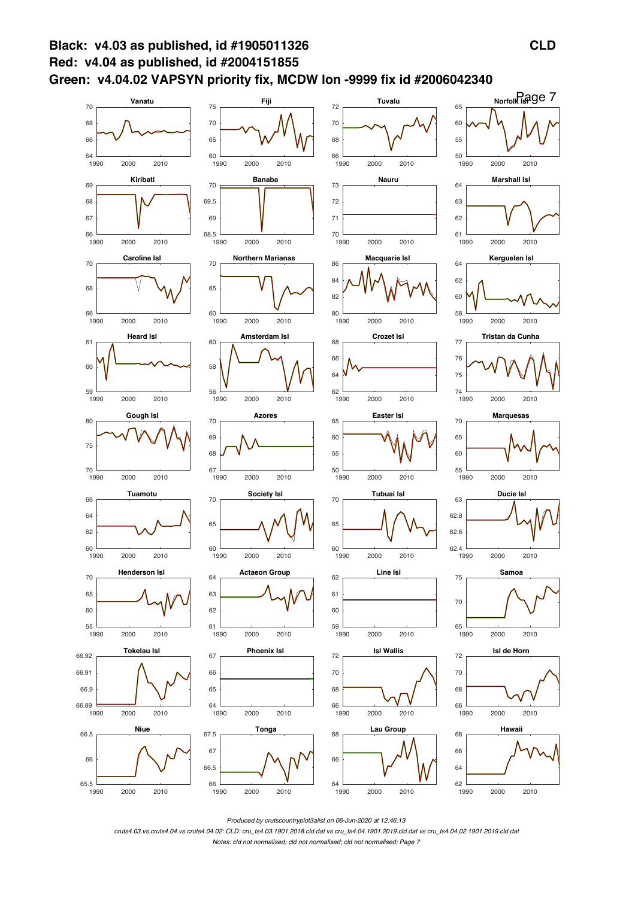

Produced by crutscountryplot3alist on 06-Jun-2020 at 12:46:13

cruts4.03.vs.cruts4.04.vs.cruts4.04.02: CLD: cru\_ts4.03.1901.2018.cld.dat vs cru\_ts4.04.1901.2019.cld.dat vs cru\_ts4.04.02.1901.2019.cld.dat

Notes: cld not normalised: cld not normalised: cld not normalised: Page 7